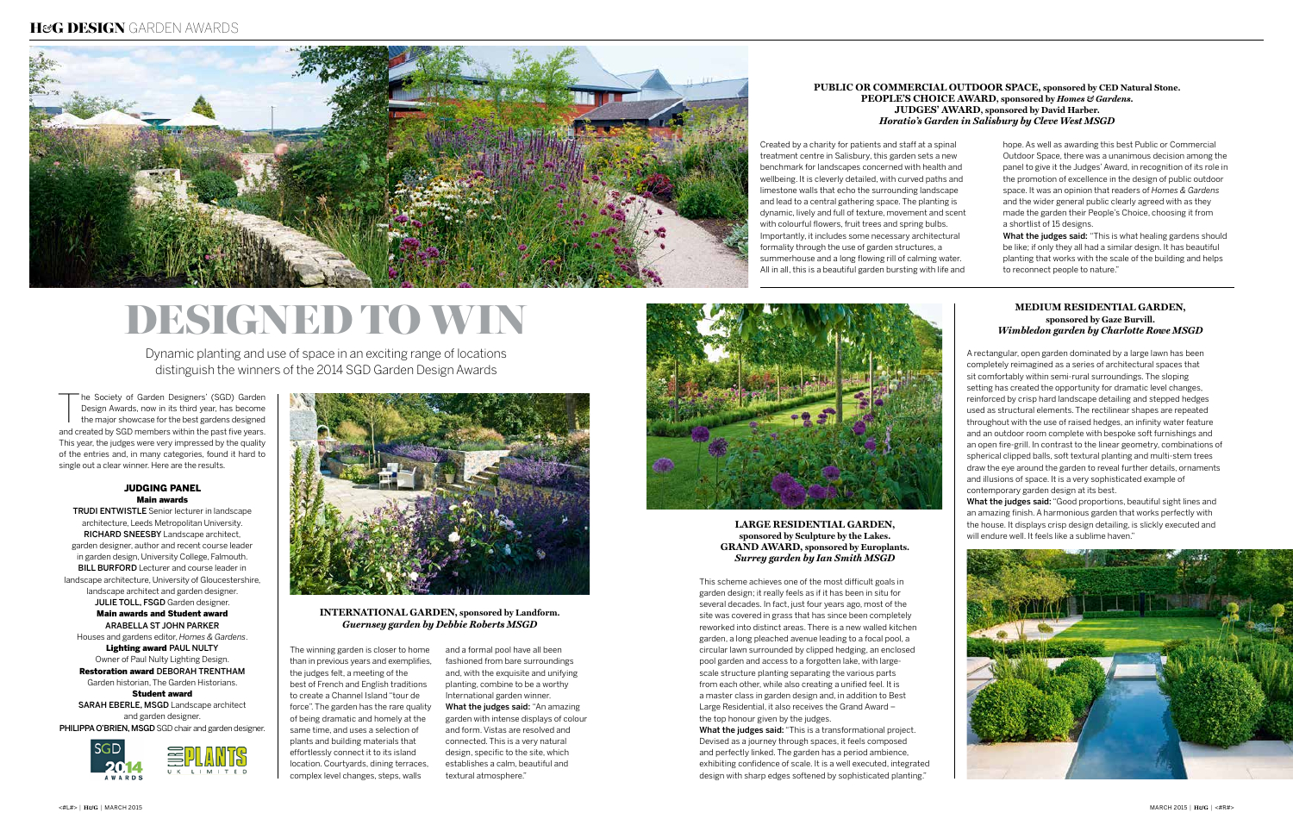Dynamic planting and use of space in an exciting range of locations distinguish the winners of the 2014 SGD Garden Design Awards

# Designed to win

The Society of Garden Designers' (SGD) Garden<br>Design Awards, now in its third year, has become<br>the major showcase for the best gardens designed<br>and the SOD case for the best gardens designed Design Awards, now in its third year, has become and created by SGD members within the past five years. This year, the judges were very impressed by the quality of the entries and, in many categories, found it hard to single out a clear winner. Here are the results.

#### JUDGING PANEL Main awards

**TRUDI ENTWISTLE** Senior lecturer in landscape architecture, Leeds Metropolitan University. RICHARD SNEESBY Landscape architect, garden designer, author and recent course leader in garden design, University College, Falmouth. **BILL BURFORD** Lecturer and course leader in landscape architecture, University of Gloucestershire, landscape architect and garden designer. JULIE TOLL, FSGD Garden designer. Main awards and Student award Arabella St John Parker Houses and gardens editor, *Homes & Gardens*. Lighting award PAUL NULTY Owner of Paul Nulty Lighting Design. **Restoration award DEBORAH TRENTHAM** Garden historian, The Garden Historians. Student award

SARAH EBERLE, MSGD Landscape architect and garden designer. PHILIPPA O'BRIEN, MSGD SGD chair and garden designer.





**INTERNATIONAL GARDEN, sponsored by Landform.** *Guernsey garden by Debbie Roberts MSGD*

The winning garden is closer to home than in previous years and exemplifies, the judges felt, a meeting of the best of French and English traditions to create a Channel Island "tour de force". The garden has the rare quality of being dramatic and homely at the same time, and uses a selection of plants and building materials that effortlessly connect it to its island location. Courtyards, dining terraces, complex level changes, steps, walls

What the judges said: "This is what healing gardens should be like; if only they all had a similar design. It has beautiful planting that works with the scale of the building and helps to reconnect people to nature."



and a formal pool have all been fashioned from bare surroundings and, with the exquisite and unifying planting, combine to be a worthy International garden winner. What the judges said: "An amazing garden with intense displays of colour and form. Vistas are resolved and connected. This is a very natural design, specific to the site, which establishes a calm, beautiful and textural atmosphere."



#### **Public or Commercial Outdoor Space, sponsored by CED Natural Stone. People's Choice Award, sponsored by** *Homes & Gardens***. Judges' Award, sponsored by David Harber.** *Horatio's Garden in Salisbury by Cleve West MSGD*

What the judges said: "This is a transformational project. Devised as a journey through spaces, it feels composed and perfectly linked. The garden has a period ambience, exhibiting confidence of scale. It is a well executed, integrated design with sharp edges softened by sophisticated planting."

Created by a charity for patients and staff at a spinal treatment centre in Salisbury, this garden sets a new benchmark for landscapes concerned with health and wellbeing. It is cleverly detailed, with curved paths and limestone walls that echo the surrounding landscape and lead to a central gathering space. The planting is dynamic, lively and full of texture, movement and scent with colourful flowers, fruit trees and spring bulbs. Importantly, it includes some necessary architectural formality through the use of garden structures, a summerhouse and a long flowing rill of calming water. All in all, this is a beautiful garden bursting with life and

hope. As well as awarding this best Public or Commercial Outdoor Space, there was a unanimous decision among the panel to give it the Judges' Award, in recognition of its role in the promotion of excellence in the design of public outdoor space. It was an opinion that readers of *Homes & Gardens* and the wider general public clearly agreed with as they made the garden their People's Choice, choosing it from a shortlist of 15 designs.

#### **Large Residential Garden, sponsored by Sculpture by the Lakes. Grand Award, sponsored by Europlants.** *Surrey garden by Ian Smith MSGD*

This scheme achieves one of the most difficult goals in garden design; it really feels as if it has been in situ for several decades. In fact, just four years ago, most of the site was covered in grass that has since been completely reworked into distinct areas. There is a new walled kitchen garden, a long pleached avenue leading to a focal pool, a circular lawn surrounded by clipped hedging, an enclosed pool garden and access to a forgotten lake, with largescale structure planting separating the various parts from each other, while also creating a unified feel. It is a master class in garden design and, in addition to Best Large Residential, it also receives the Grand Award – the top honour given by the judges.

#### **Medium Residential Garden, sponsored by Gaze Burvill.** *Wimbledon garden by Charlotte Rowe MSGD*

A rectangular, open garden dominated by a large lawn has been completely reimagined as a series of architectural spaces that sit comfortably within semi-rural surroundings. The sloping setting has created the opportunity for dramatic level changes, reinforced by crisp hard landscape detailing and stepped hedges used as structural elements. The rectilinear shapes are repeated throughout with the use of raised hedges, an infinity water feature and an outdoor room complete with bespoke soft furnishings and an open fire-grill. In contrast to the linear geometry, combinations of spherical clipped balls, soft textural planting and multi-stem trees draw the eye around the garden to reveal further details, ornaments and illusions of space. It is a very sophisticated example of contemporary garden design at its best.

What the judges said: "Good proportions, beautiful sight lines and an amazing finish. A harmonious garden that works perfectly with the house. It displays crisp design detailing, is slickly executed and will endure well. It feels like a sublime haven."



# H*&*G DESIGN GARDEN AWARDS

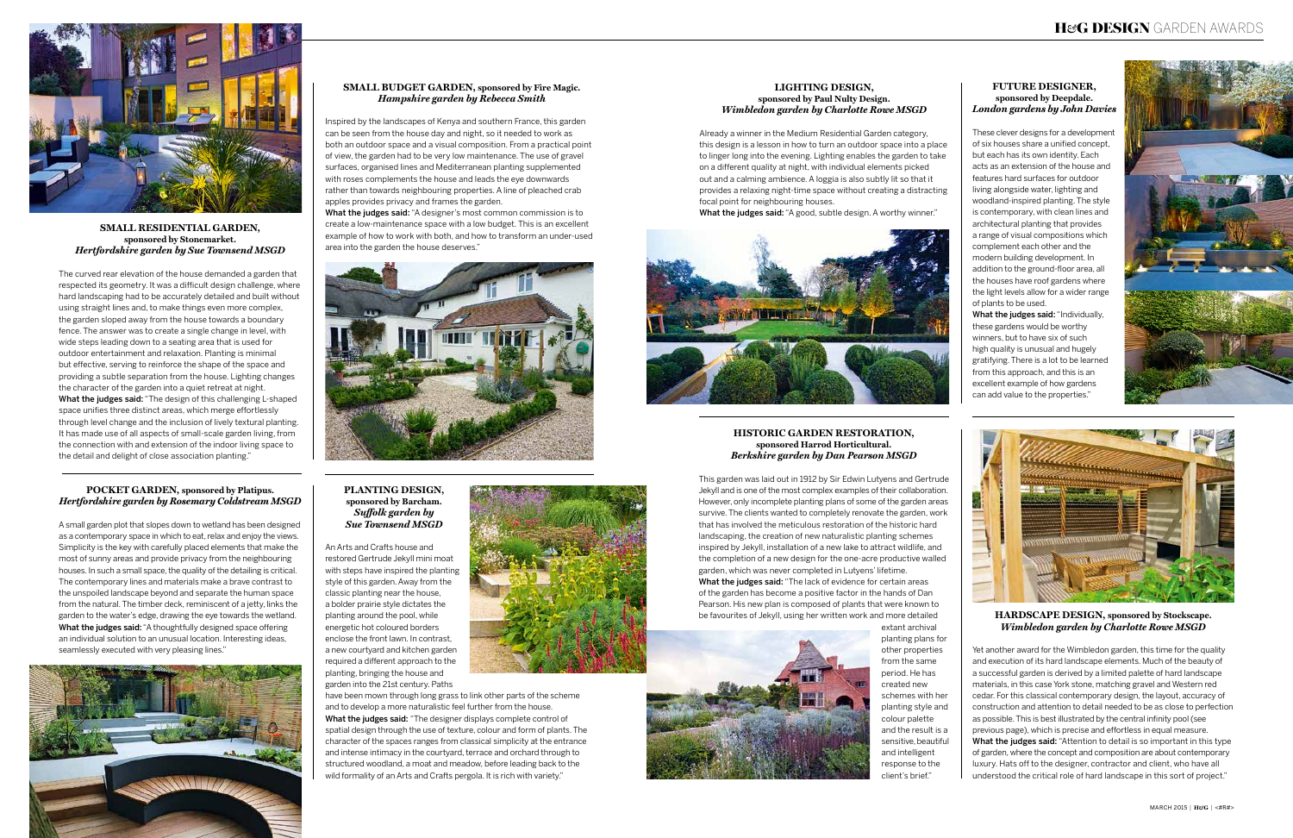#### **Pocket Garden, sponsored by Platipus.** *Hertfordshire garden by Rosemary Coldstream MSGD*

A small garden plot that slopes down to wetland has been designed as a contemporary space in which to eat, relax and enjoy the views. Simplicity is the key with carefully placed elements that make the most of sunny areas and provide privacy from the neighbouring houses. In such a small space, the quality of the detailing is critical. The contemporary lines and materials make a brave contrast to the unspoiled landscape beyond and separate the human space from the natural. The timber deck, reminiscent of a jetty, links the garden to the water's edge, drawing the eye towards the wetland. What the judges said: "A thoughtfully designed space offering an individual solution to an unusual location. Interesting ideas, seamlessly executed with very pleasing lines."



#### **Future Designer, sponsored by Deepdale.** *London gardens by John Davies*

What the judges said: "Individually, these gardens would be worthy winners, but to have six of such high quality is unusual and hugely gratifying. There is a lot to be learned from this approach, and this is an excellent example of how gardens can add value to the properties."



These clever designs for a development of six houses share a unified concept, but each has its own identity. Each acts as an extension of the house and features hard surfaces for outdoor living alongside water, lighting and woodland-inspired planting. The style is contemporary, with clean lines and architectural planting that provides a range of visual compositions which complement each other and the modern building development. In addition to the ground-floor area, all the houses have roof gardens where the light levels allow for a wider range of plants to be used.

#### **Planting Design, sponsored by Barcham.** *Su≠olk garden by Sue Townsend MSGD*

An Arts and Crafts house and restored Gertrude Jekyll mini moat with steps have inspired the planting style of this garden. Away from the classic planting near the house, a bolder prairie style dictates the planting around the pool, while energetic hot coloured borders enclose the front lawn. In contrast, a new courtyard and kitchen garden required a different approach to the planting, bringing the house and garden into the 21st century. Paths



have been mown through long grass to link other parts of the scheme and to develop a more naturalistic feel further from the house. What the judges said: "The designer displays complete control of spatial design through the use of texture, colour and form of plants. The character of the spaces ranges from classical simplicity at the entrance and intense intimacy in the courtyard, terrace and orchard through to structured woodland, a moat and meadow, before leading back to the wild formality of an Arts and Crafts pergola. It is rich with variety."

What the judges said: "The lack of evidence for certain areas of the garden has become a positive factor in the hands of Dan Pearson. His new plan is composed of plants that were known to be favourites of Jekyll, using her written work and more detailed extant archival planting plans for other properties from the same period. He has



#### **Lighting Design, sponsored by Paul Nulty Design.** *Wimbledon garden by Charlotte Rowe MSGD*

Already a winner in the Medium Residential Garden category, this design is a lesson in how to turn an outdoor space into a place to linger long into the evening. Lighting enables the garden to take on a different quality at night, with individual elements picked out and a calming ambience. A loggia is also subtly lit so that it provides a relaxing night-time space without creating a distracting focal point for neighbouring houses.

What the judges said: "A good, subtle design. A worthy winner."





**Hardscape Design, sponsored by Stockscape.** *Wimbledon garden by Charlotte Rowe MSGD*

What the judges said: "A designer's most common commission is to create a low-maintenance space with a low budget. This is an excellent example of how to work with both, and how to transform an under-used area into the garden the house deserves."



Yet another award for the Wimbledon garden, this time for the quality and execution of its hard landscape elements. Much of the beauty of a successful garden is derived by a limited palette of hard landscape materials, in this case York stone, matching gravel and Western red cedar. For this classical contemporary design, the layout, accuracy of construction and attention to detail needed to be as close to perfection as possible. This is best illustrated by the central infinity pool (see previous page), which is precise and effortless in equal measure. What the judges said: "Attention to detail is so important in this type of garden, where the concept and composition are about contemporary luxury. Hats off to the designer, contractor and client, who have all understood the critical role of hard landscape in this sort of project."

#### **Historic Garden Restoration, sponsored Harrod Horticultural.** *Berkshire garden by Dan Pearson MSGD*

This garden was laid out in 1912 by Sir Edwin Lutyens and Gertrude Jekyll and is one of the most complex examples of their collaboration. However, only incomplete planting plans of some of the garden areas survive. The clients wanted to completely renovate the garden, work that has involved the meticulous restoration of the historic hard landscaping, the creation of new naturalistic planting schemes inspired by Jekyll, installation of a new lake to attract wildlife, and the completion of a new design for the one-acre productive walled garden, which was never completed in Lutyens' lifetime.

> created new schemes with her planting style and colour palette and the result is a sensitive, beautiful and intelligent response to the client's brief."



**Small Residential Garden, sponsored by Stonemarket.** *Hertfordshire garden by Sue Townsend MSGD*

The curved rear elevation of the house demanded a garden that respected its geometry. It was a difficult design challenge, where hard landscaping had to be accurately detailed and built without using straight lines and, to make things even more complex, the garden sloped away from the house towards a boundary fence. The answer was to create a single change in level, with wide steps leading down to a seating area that is used for outdoor entertainment and relaxation. Planting is minimal but effective, serving to reinforce the shape of the space and providing a subtle separation from the house. Lighting changes the character of the garden into a quiet retreat at night. What the judges said: "The design of this challenging L-shaped space unifies three distinct areas, which merge effortlessly through level change and the inclusion of lively textural planting. It has made use of all aspects of small-scale garden living, from the connection with and extension of the indoor living space to the detail and delight of close association planting."

#### **Small Budget Garden, sponsored by Fire Magic.** *Hampshire garden by Rebecca Smith*

Inspired by the landscapes of Kenya and southern France, this garden can be seen from the house day and night, so it needed to work as both an outdoor space and a visual composition. From a practical point of view, the garden had to be very low maintenance. The use of gravel surfaces, organised lines and Mediterranean planting supplemented with roses complements the house and leads the eye downwards rather than towards neighbouring properties. A line of pleached crab apples provides privacy and frames the garden.